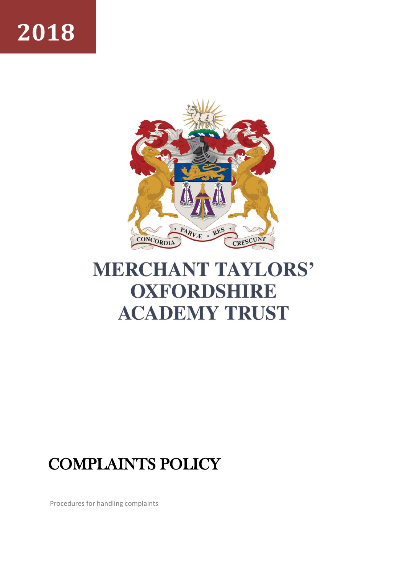# **2018**



# **MERCHANT TAYLORS' OXFORDSHIRE ACADEMY TRUST**

# COMPLAINTS POLICY

Procedures for handling complaints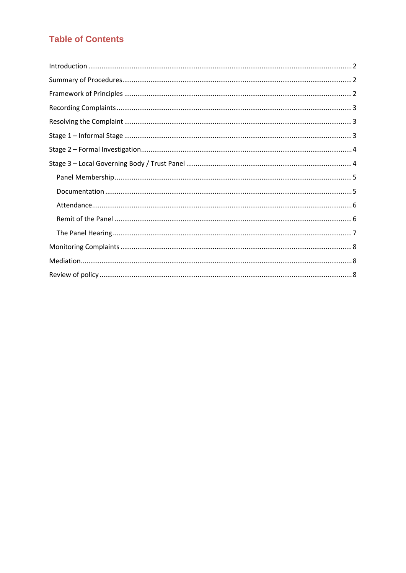# **Table of Contents**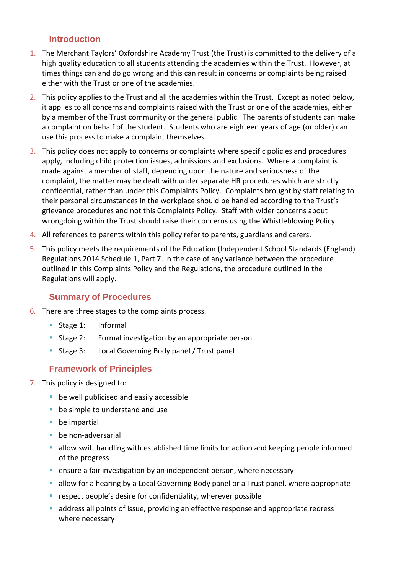#### <span id="page-2-0"></span>**Introduction**

- 1. The Merchant Taylors' Oxfordshire Academy Trust (the Trust) is committed to the delivery of a high quality education to all students attending the academies within the Trust. However, at times things can and do go wrong and this can result in concerns or complaints being raised either with the Trust or one of the academies.
- 2. This policy applies to the Trust and all the academies within the Trust. Except as noted below, it applies to all concerns and complaints raised with the Trust or one of the academies, either by a member of the Trust community or the general public. The parents of students can make a complaint on behalf of the student. Students who are eighteen years of age (or older) can use this process to make a complaint themselves.
- 3. This policy does not apply to concerns or complaints where specific policies and procedures apply, including child protection issues, admissions and exclusions. Where a complaint is made against a member of staff, depending upon the nature and seriousness of the complaint, the matter may be dealt with under separate HR procedures which are strictly confidential, rather than under this Complaints Policy. Complaints brought by staff relating to their personal circumstances in the workplace should be handled according to the Trust's grievance procedures and not this Complaints Policy. Staff with wider concerns about wrongdoing within the Trust should raise their concerns using the Whistleblowing Policy.
- 4. All references to parents within this policy refer to parents, guardians and carers.
- 5. This policy meets the requirements of the Education (Independent School Standards (England) Regulations 2014 Schedule 1, Part 7. In the case of any variance between the procedure outlined in this Complaints Policy and the Regulations, the procedure outlined in the Regulations will apply.

#### <span id="page-2-1"></span>**Summary of Procedures**

- 6. There are three stages to the complaints process.
	- Stage 1: Informal
	- **EXT** Stage 2: Formal investigation by an appropriate person
	- Stage 3: Local Governing Body panel / Trust panel

#### <span id="page-2-2"></span>**Framework of Principles**

- 7. This policy is designed to:
	- be well publicised and easily accessible
	- be simple to understand and use
	- $\blacksquare$  be impartial
	- be non-adversarial
	- allow swift handling with established time limits for action and keeping people informed of the progress
	- **E** ensure a fair investigation by an independent person, where necessary
	- **E** allow for a hearing by a Local Governing Body panel or a Trust panel, where appropriate
	- respect people's desire for confidentiality, wherever possible
	- **E** address all points of issue, providing an effective response and appropriate redress where necessary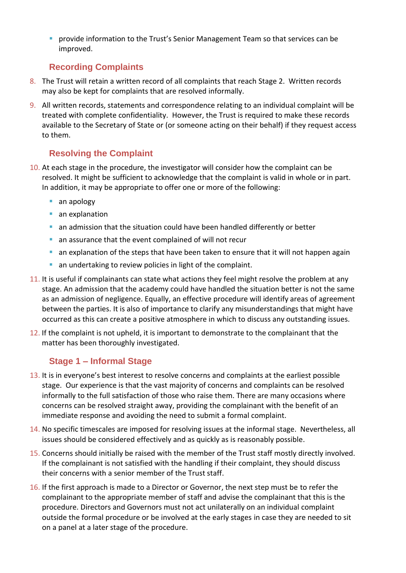**• provide information to the Trust's Senior Management Team so that services can be** improved.

## <span id="page-3-0"></span>**Recording Complaints**

- 8. The Trust will retain a written record of all complaints that reach Stage 2. Written records may also be kept for complaints that are resolved informally.
- 9. All written records, statements and correspondence relating to an individual complaint will be treated with complete confidentiality. However, the Trust is required to make these records available to the Secretary of State or (or someone acting on their behalf) if they request access to them.

# <span id="page-3-1"></span>**Resolving the Complaint**

- 10. At each stage in the procedure, the investigator will consider how the complaint can be resolved. It might be sufficient to acknowledge that the complaint is valid in whole or in part. In addition, it may be appropriate to offer one or more of the following:
	- an apology
	- an explanation
	- an admission that the situation could have been handled differently or better
	- an assurance that the event complained of will not recur
	- an explanation of the steps that have been taken to ensure that it will not happen again
	- an undertaking to review policies in light of the complaint.
- 11. It is useful if complainants can state what actions they feel might resolve the problem at any stage. An admission that the academy could have handled the situation better is not the same as an admission of negligence. Equally, an effective procedure will identify areas of agreement between the parties. It is also of importance to clarify any misunderstandings that might have occurred as this can create a positive atmosphere in which to discuss any outstanding issues.
- 12. If the complaint is not upheld, it is important to demonstrate to the complainant that the matter has been thoroughly investigated.

# <span id="page-3-2"></span>**Stage 1 – Informal Stage**

- 13. It is in everyone's best interest to resolve concerns and complaints at the earliest possible stage. Our experience is that the vast majority of concerns and complaints can be resolved informally to the full satisfaction of those who raise them. There are many occasions where concerns can be resolved straight away, providing the complainant with the benefit of an immediate response and avoiding the need to submit a formal complaint.
- 14. No specific timescales are imposed for resolving issues at the informal stage. Nevertheless, all issues should be considered effectively and as quickly as is reasonably possible.
- 15. Concerns should initially be raised with the member of the Trust staff mostly directly involved. If the complainant is not satisfied with the handling if their complaint, they should discuss their concerns with a senior member of the Trust staff.
- 16. If the first approach is made to a Director or Governor, the next step must be to refer the complainant to the appropriate member of staff and advise the complainant that this is the procedure. Directors and Governors must not act unilaterally on an individual complaint outside the formal procedure or be involved at the early stages in case they are needed to sit on a panel at a later stage of the procedure.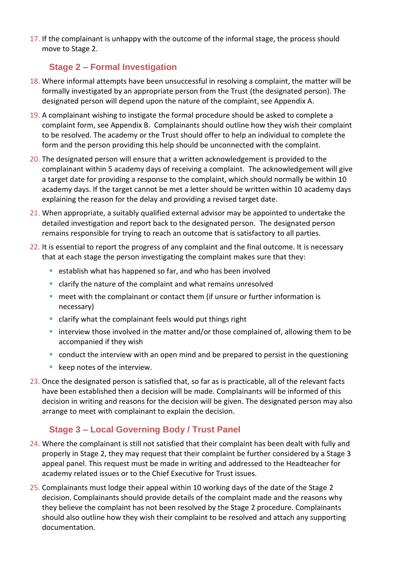17. If the complainant is unhappy with the outcome of the informal stage, the process should move to Stage 2.

### <span id="page-4-0"></span>**Stage 2 – Formal Investigation**

- 18. Where informal attempts have been unsuccessful in resolving a complaint, the matter will be formally investigated by an appropriate person from the Trust (the designated person). The designated person will depend upon the nature of the complaint, see Appendix A.
- 19. A complainant wishing to instigate the formal procedure should be asked to complete a complaint form, see Appendix B. Complainants should outline how they wish their complaint to be resolved. The academy or the Trust should offer to help an individual to complete the form and the person providing this help should be unconnected with the complaint.
- 20. The designated person will ensure that a written acknowledgement is provided to the complainant within 5 academy days of receiving a complaint. The acknowledgement will give a target date for providing a response to the complaint, which should normally be within 10 academy days. If the target cannot be met a letter should be written within 10 academy days explaining the reason for the delay and providing a revised target date.
- 21. When appropriate, a suitably qualified external advisor may be appointed to undertake the detailed investigation and report back to the designated person. The designated person remains responsible for trying to reach an outcome that is satisfactory to all parties.
- 22. It is essential to report the progress of any complaint and the final outcome. It is necessary that at each stage the person investigating the complaint makes sure that they:
	- establish what has happened so far, and who has been involved
	- clarify the nature of the complaint and what remains unresolved
	- meet with the complainant or contact them (if unsure or further information is necessary)
	- clarify what the complainant feels would put things right
	- interview those involved in the matter and/or those complained of, allowing them to be accompanied if they wish
	- conduct the interview with an open mind and be prepared to persist in the questioning
	- keep notes of the interview.
- 23. Once the designated person is satisfied that, so far as is practicable, all of the relevant facts have been established then a decision will be made. Complainants will be informed of this decision in writing and reasons for the decision will be given. The designated person may also arrange to meet with complainant to explain the decision.

### <span id="page-4-1"></span>**Stage 3 – Local Governing Body / Trust Panel**

- 24. Where the complainant is still not satisfied that their complaint has been dealt with fully and properly in Stage 2, they may request that their complaint be further considered by a Stage 3 appeal panel. This request must be made in writing and addressed to the Headteacher for academy related issues or to the Chief Executive for Trust issues.
- 25. Complainants must lodge their appeal within 10 working days of the date of the Stage 2 decision. Complainants should provide details of the complaint made and the reasons why they believe the complaint has not been resolved by the Stage 2 procedure. Complainants should also outline how they wish their complaint to be resolved and attach any supporting documentation.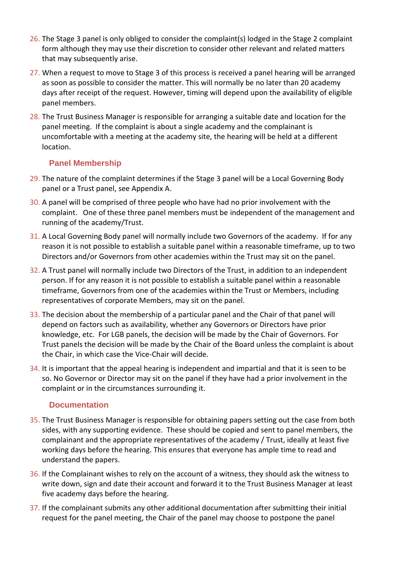- 26. The Stage 3 panel is only obliged to consider the complaint(s) lodged in the Stage 2 complaint form although they may use their discretion to consider other relevant and related matters that may subsequently arise.
- 27. When a request to move to Stage 3 of this process is received a panel hearing will be arranged as soon as possible to consider the matter. This will normally be no later than 20 academy days after receipt of the request. However, timing will depend upon the availability of eligible panel members.
- 28. The Trust Business Manager is responsible for arranging a suitable date and location for the panel meeting. If the complaint is about a single academy and the complainant is uncomfortable with a meeting at the academy site, the hearing will be held at a different location.

#### <span id="page-5-0"></span>**Panel Membership**

- 29. The nature of the complaint determines if the Stage 3 panel will be a Local Governing Body panel or a Trust panel, see Appendix A.
- 30. A panel will be comprised of three people who have had no prior involvement with the complaint. One of these three panel members must be independent of the management and running of the academy/Trust.
- 31. A Local Governing Body panel will normally include two Governors of the academy. If for any reason it is not possible to establish a suitable panel within a reasonable timeframe, up to two Directors and/or Governors from other academies within the Trust may sit on the panel.
- 32. A Trust panel will normally include two Directors of the Trust, in addition to an independent person. If for any reason it is not possible to establish a suitable panel within a reasonable timeframe, Governors from one of the academies within the Trust or Members, including representatives of corporate Members, may sit on the panel.
- 33. The decision about the membership of a particular panel and the Chair of that panel will depend on factors such as availability, whether any Governors or Directors have prior knowledge, etc. For LGB panels, the decision will be made by the Chair of Governors. For Trust panels the decision will be made by the Chair of the Board unless the complaint is about the Chair, in which case the Vice-Chair will decide.
- 34. It is important that the appeal hearing is independent and impartial and that it is seen to be so. No Governor or Director may sit on the panel if they have had a prior involvement in the complaint or in the circumstances surrounding it.

#### <span id="page-5-1"></span>**Documentation**

- 35. The Trust Business Manager is responsible for obtaining papers setting out the case from both sides, with any supporting evidence. These should be copied and sent to panel members, the complainant and the appropriate representatives of the academy / Trust, ideally at least five working days before the hearing. This ensures that everyone has ample time to read and understand the papers.
- 36. If the Complainant wishes to rely on the account of a witness, they should ask the witness to write down, sign and date their account and forward it to the Trust Business Manager at least five academy days before the hearing.
- 37. If the complainant submits any other additional documentation after submitting their initial request for the panel meeting, the Chair of the panel may choose to postpone the panel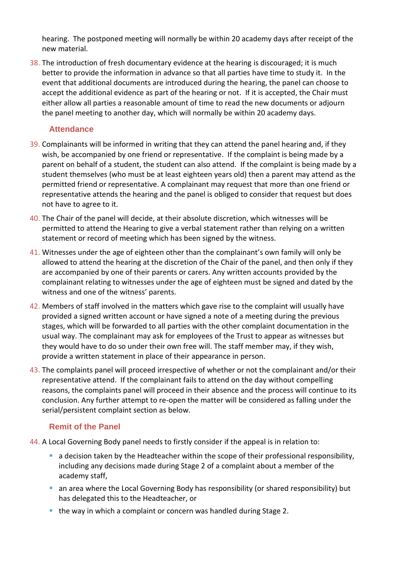hearing. The postponed meeting will normally be within 20 academy days after receipt of the new material.

38. The introduction of fresh documentary evidence at the hearing is discouraged; it is much better to provide the information in advance so that all parties have time to study it. In the event that additional documents are introduced during the hearing, the panel can choose to accept the additional evidence as part of the hearing or not. If it is accepted, the Chair must either allow all parties a reasonable amount of time to read the new documents or adjourn the panel meeting to another day, which will normally be within 20 academy days.

#### <span id="page-6-0"></span>**Attendance**

- 39. Complainants will be informed in writing that they can attend the panel hearing and, if they wish, be accompanied by one friend or representative. If the complaint is being made by a parent on behalf of a student, the student can also attend. If the complaint is being made by a student themselves (who must be at least eighteen years old) then a parent may attend as the permitted friend or representative. A complainant may request that more than one friend or representative attends the hearing and the panel is obliged to consider that request but does not have to agree to it.
- 40. The Chair of the panel will decide, at their absolute discretion, which witnesses will be permitted to attend the Hearing to give a verbal statement rather than relying on a written statement or record of meeting which has been signed by the witness.
- 41. Witnesses under the age of eighteen other than the complainant's own family will only be allowed to attend the hearing at the discretion of the Chair of the panel, and then only if they are accompanied by one of their parents or carers. Any written accounts provided by the complainant relating to witnesses under the age of eighteen must be signed and dated by the witness and one of the witness' parents.
- 42. Members of staff involved in the matters which gave rise to the complaint will usually have provided a signed written account or have signed a note of a meeting during the previous stages, which will be forwarded to all parties with the other complaint documentation in the usual way. The complainant may ask for employees of the Trust to appear as witnesses but they would have to do so under their own free will. The staff member may, if they wish, provide a written statement in place of their appearance in person.
- 43. The complaints panel will proceed irrespective of whether or not the complainant and/or their representative attend. If the complainant fails to attend on the day without compelling reasons, the complaints panel will proceed in their absence and the process will continue to its conclusion. Any further attempt to re-open the matter will be considered as falling under the serial/persistent complaint section as below.

#### <span id="page-6-1"></span>**Remit of the Panel**

- 44. A Local Governing Body panel needs to firstly consider if the appeal is in relation to:
	- a decision taken by the Headteacher within the scope of their professional responsibility, including any decisions made during Stage 2 of a complaint about a member of the academy staff,
	- an area where the Local Governing Body has responsibility (or shared responsibility) but has delegated this to the Headteacher, or
	- the way in which a complaint or concern was handled during Stage 2.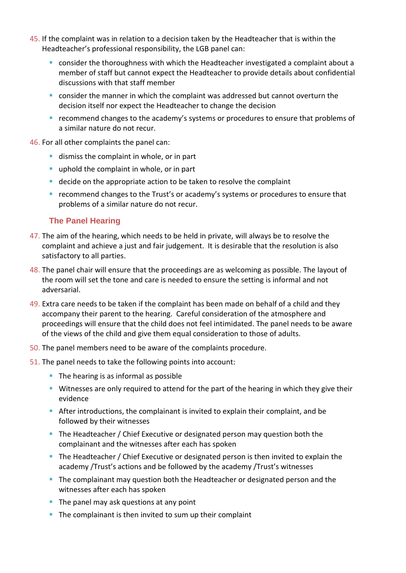- 45. If the complaint was in relation to a decision taken by the Headteacher that is within the Headteacher's professional responsibility, the LGB panel can:
	- consider the thoroughness with which the Headteacher investigated a complaint about a member of staff but cannot expect the Headteacher to provide details about confidential discussions with that staff member
	- $\blacksquare$  consider the manner in which the complaint was addressed but cannot overturn the decision itself nor expect the Headteacher to change the decision
	- recommend changes to the academy's systems or procedures to ensure that problems of a similar nature do not recur.

46. For all other complaints the panel can:

- dismiss the complaint in whole, or in part
- **E** uphold the complaint in whole, or in part
- decide on the appropriate action to be taken to resolve the complaint
- recommend changes to the Trust's or academy's systems or procedures to ensure that problems of a similar nature do not recur.

#### <span id="page-7-0"></span>**The Panel Hearing**

- 47. The aim of the hearing, which needs to be held in private, will always be to resolve the complaint and achieve a just and fair judgement. It is desirable that the resolution is also satisfactory to all parties.
- 48. The panel chair will ensure that the proceedings are as welcoming as possible. The layout of the room will set the tone and care is needed to ensure the setting is informal and not adversarial.
- 49. Extra care needs to be taken if the complaint has been made on behalf of a child and they accompany their parent to the hearing. Careful consideration of the atmosphere and proceedings will ensure that the child does not feel intimidated. The panel needs to be aware of the views of the child and give them equal consideration to those of adults.
- 50. The panel members need to be aware of the complaints procedure.
- 51. The panel needs to take the following points into account:
	- The hearing is as informal as possible
	- **EXT** Witnesses are only required to attend for the part of the hearing in which they give their evidence
	- **EXTER** After introductions, the complainant is invited to explain their complaint, and be followed by their witnesses
	- **The Headteacher / Chief Executive or designated person may question both the** complainant and the witnesses after each has spoken
	- **•** The Headteacher / Chief Executive or designated person is then invited to explain the academy /Trust's actions and be followed by the academy /Trust's witnesses
	- **The complainant may question both the Headteacher or designated person and the** witnesses after each has spoken
	- $\blacksquare$  The panel may ask questions at any point
	- The complainant is then invited to sum up their complaint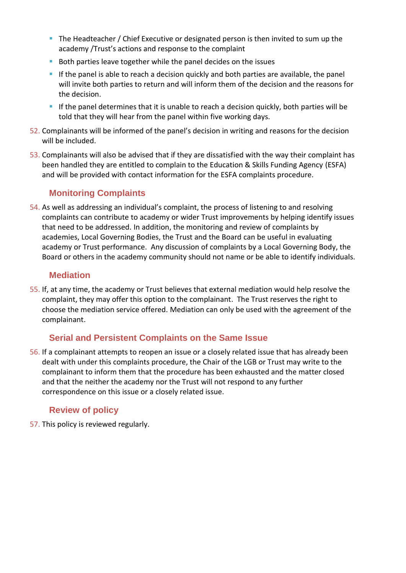- **The Headteacher / Chief Executive or designated person is then invited to sum up the** academy /Trust's actions and response to the complaint
- Both parties leave together while the panel decides on the issues
- **.** If the panel is able to reach a decision quickly and both parties are available, the panel will invite both parties to return and will inform them of the decision and the reasons for the decision.
- **If the panel determines that it is unable to reach a decision quickly, both parties will be** told that they will hear from the panel within five working days.
- 52. Complainants will be informed of the panel's decision in writing and reasons for the decision will be included.
- 53. Complainants will also be advised that if they are dissatisfied with the way their complaint has been handled they are entitled to complain to the Education & Skills Funding Agency (ESFA) and will be provided with contact information for the ESFA complaints procedure.

#### <span id="page-8-0"></span>**Monitoring Complaints**

54. As well as addressing an individual's complaint, the process of listening to and resolving complaints can contribute to academy or wider Trust improvements by helping identify issues that need to be addressed. In addition, the monitoring and review of complaints by academies, Local Governing Bodies, the Trust and the Board can be useful in evaluating academy or Trust performance. Any discussion of complaints by a Local Governing Body, the Board or others in the academy community should not name or be able to identify individuals.

#### <span id="page-8-1"></span>**Mediation**

55. If, at any time, the academy or Trust believes that external mediation would help resolve the complaint, they may offer this option to the complainant. The Trust reserves the right to choose the mediation service offered. Mediation can only be used with the agreement of the complainant.

#### <span id="page-8-2"></span>**Serial and Persistent Complaints on the Same Issue**

56. If a complainant attempts to reopen an issue or a closely related issue that has already been dealt with under this complaints procedure, the Chair of the LGB or Trust may write to the complainant to inform them that the procedure has been exhausted and the matter closed and that the neither the academy nor the Trust will not respond to any further correspondence on this issue or a closely related issue.

#### **Review of policy**

57. This policy is reviewed regularly.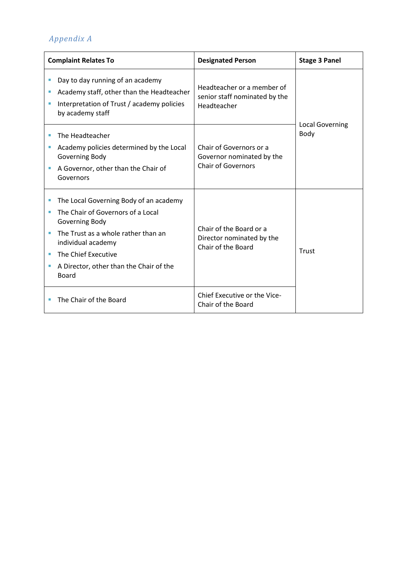# *Appendix A*

| <b>Complaint Relates To</b> |                                                                                                                                                                                                                                              | <b>Designated Person</b>                                                          | <b>Stage 3 Panel</b>           |
|-----------------------------|----------------------------------------------------------------------------------------------------------------------------------------------------------------------------------------------------------------------------------------------|-----------------------------------------------------------------------------------|--------------------------------|
| I.<br>П                     | Day to day running of an academy<br>Academy staff, other than the Headteacher<br>Interpretation of Trust / academy policies<br>by academy staff                                                                                              | Headteacher or a member of<br>senior staff nominated by the<br>Headteacher        | <b>Local Governing</b><br>Body |
|                             | The Headteacher<br>Academy policies determined by the Local<br>Governing Body<br>A Governor, other than the Chair of<br>Governors                                                                                                            | Chair of Governors or a<br>Governor nominated by the<br><b>Chair of Governors</b> |                                |
| ш<br>ш                      | The Local Governing Body of an academy<br>The Chair of Governors of a Local<br>Governing Body<br>The Trust as a whole rather than an<br>individual academy<br>The Chief Executive<br>A Director, other than the Chair of the<br><b>Board</b> | Chair of the Board or a<br>Director nominated by the<br>Chair of the Board        | Trust                          |
|                             | The Chair of the Board                                                                                                                                                                                                                       | Chief Executive or the Vice-<br>Chair of the Board                                |                                |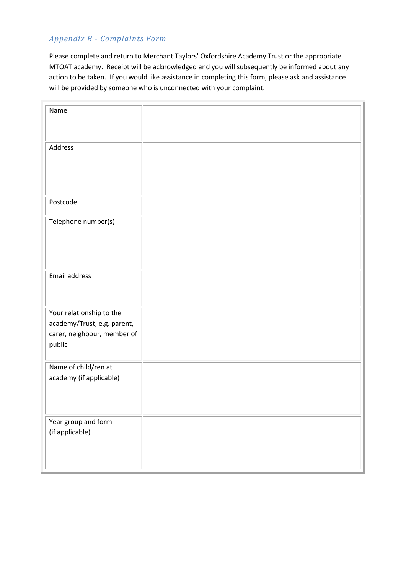#### *Appendix B - Complaints Form*

Please complete and return to Merchant Taylors' Oxfordshire Academy Trust or the appropriate MTOAT academy. Receipt will be acknowledged and you will subsequently be informed about any action to be taken. If you would like assistance in completing this form, please ask and assistance will be provided by someone who is unconnected with your complaint.

| Name                        |  |
|-----------------------------|--|
|                             |  |
|                             |  |
|                             |  |
| Address                     |  |
|                             |  |
|                             |  |
|                             |  |
|                             |  |
|                             |  |
| Postcode                    |  |
|                             |  |
|                             |  |
| Telephone number(s)         |  |
|                             |  |
|                             |  |
|                             |  |
|                             |  |
|                             |  |
| Email address               |  |
|                             |  |
|                             |  |
|                             |  |
| Your relationship to the    |  |
| academy/Trust, e.g. parent, |  |
|                             |  |
| carer, neighbour, member of |  |
| public                      |  |
|                             |  |
| Name of child/ren at        |  |
|                             |  |
| academy (if applicable)     |  |
|                             |  |
|                             |  |
|                             |  |
|                             |  |
| Year group and form         |  |
| (if applicable)             |  |
|                             |  |
|                             |  |
|                             |  |
|                             |  |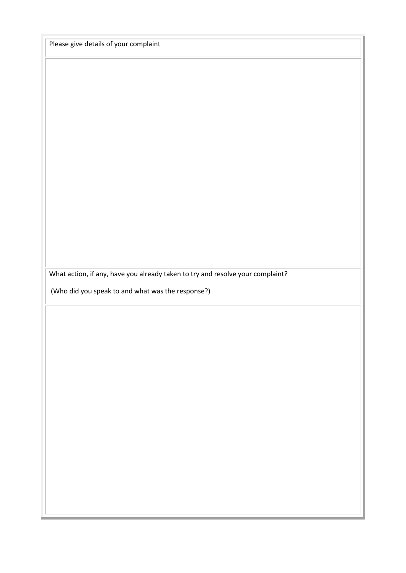Please give details of your complaint

What action, if any, have you already taken to try and resolve your complaint?

(Who did you speak to and what was the response?)